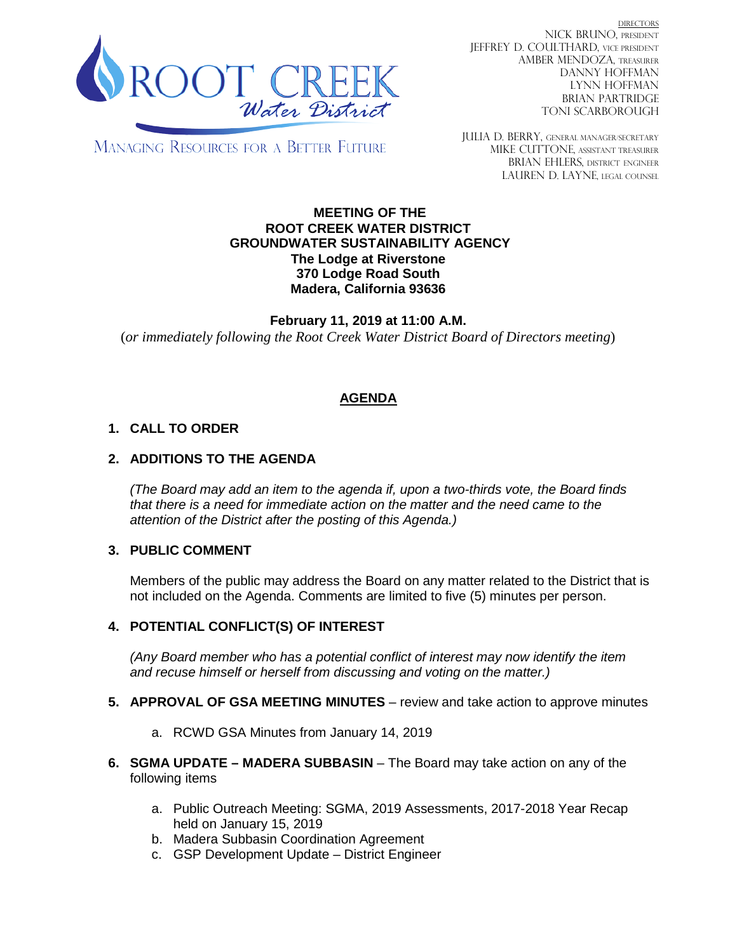

**DIRECTORS** NICK BRUNO, PRESIDENT JEFFREY D. COULTHARD, VICE PRESIDENT AMBER MENDOZA, TREASURER DANNY HOFFMAN LYNN HOFFMAN BRIAN PARTRIDGE TONI SCARBOROUGH

MANAGING RESOURCES FOR A BETTER FUTURE

JULIA D. BERRY, GENERAL MANAGER/secretary MIKE CUTTONE, Assistant treasurer BRIAN EHLERS, DISTRICT ENGINEER LAUREN D. LAYNE, LEGAL COUNSEL

#### **MEETING OF THE ROOT CREEK WATER DISTRICT GROUNDWATER SUSTAINABILITY AGENCY The Lodge at Riverstone 370 Lodge Road South Madera, California 93636**

**February 11, 2019 at 11:00 A.M.** (*or immediately following the Root Creek Water District Board of Directors meeting*)

# **AGENDA**

## **1. CALL TO ORDER**

## **2. ADDITIONS TO THE AGENDA**

*(The Board may add an item to the agenda if, upon a two-thirds vote, the Board finds that there is a need for immediate action on the matter and the need came to the attention of the District after the posting of this Agenda.)*

### **3. PUBLIC COMMENT**

Members of the public may address the Board on any matter related to the District that is not included on the Agenda. Comments are limited to five (5) minutes per person.

### **4. POTENTIAL CONFLICT(S) OF INTEREST**

*(Any Board member who has a potential conflict of interest may now identify the item and recuse himself or herself from discussing and voting on the matter.)*

- **5. APPROVAL OF GSA MEETING MINUTES** review and take action to approve minutes
	- a. RCWD GSA Minutes from January 14, 2019
- **6. SGMA UPDATE – MADERA SUBBASIN** The Board may take action on any of the following items
	- a. Public Outreach Meeting: SGMA, 2019 Assessments, 2017-2018 Year Recap held on January 15, 2019
	- b. Madera Subbasin Coordination Agreement
	- c. GSP Development Update District Engineer